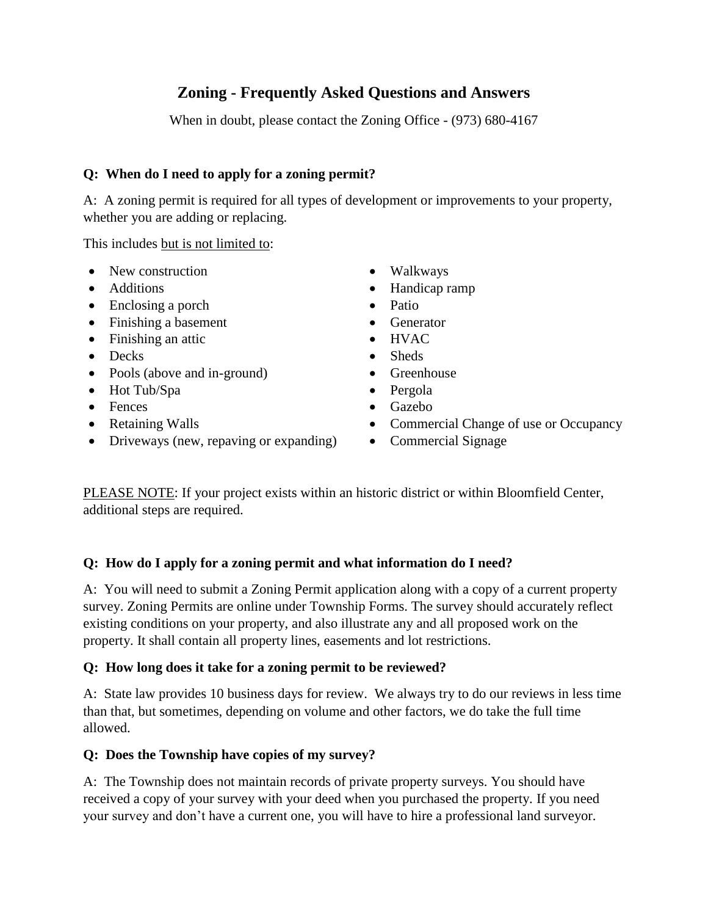# **Zoning - Frequently Asked Questions and Answers**

When in doubt, please contact the Zoning Office - (973) 680-4167

# **Q: When do I need to apply for a zoning permit?**

A: A zoning permit is required for all types of development or improvements to your property, whether you are adding or replacing.

This includes but is not limited to:

- New construction
- Additions
- Enclosing a porch
- Finishing a basement
- Finishing an attic
- Decks
- Pools (above and in-ground)
- Hot Tub/Spa
- Fences
- Retaining Walls
- Driveways (new, repaving or expanding)
- Walkways
- Handicap ramp
- Patio
- Generator
- HVAC
- Sheds
- Greenhouse
- Pergola
- Gazebo
- Commercial Change of use or Occupancy
- Commercial Signage

PLEASE NOTE: If your project exists within an historic district or within Bloomfield Center, additional steps are required.

# **Q: How do I apply for a zoning permit and what information do I need?**

A: You will need to submit a Zoning Permit application along with a copy of a current property survey. Zoning Permits are online under Township Forms. The survey should accurately reflect existing conditions on your property, and also illustrate any and all proposed work on the property. It shall contain all property lines, easements and lot restrictions.

# **Q: How long does it take for a zoning permit to be reviewed?**

A: State law provides 10 business days for review. We always try to do our reviews in less time than that, but sometimes, depending on volume and other factors, we do take the full time allowed.

# **Q: Does the Township have copies of my survey?**

A: The Township does not maintain records of private property surveys. You should have received a copy of your survey with your deed when you purchased the property. If you need your survey and don't have a current one, you will have to hire a professional land surveyor.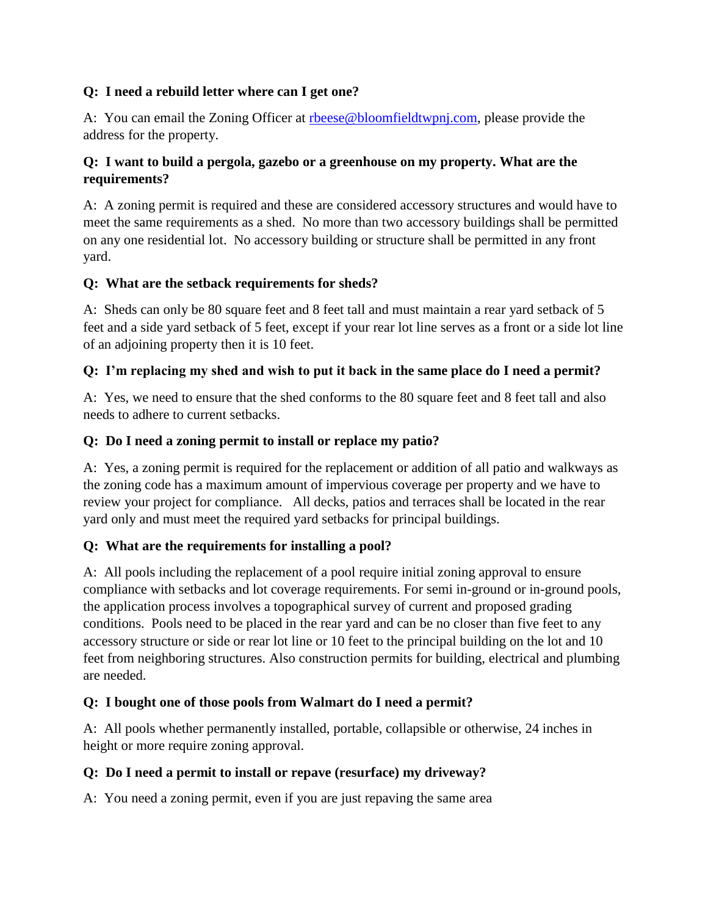### **Q: I need a rebuild letter where can I get one?**

A: You can email the Zoning Officer at [rbeese@bloomfieldtwpnj.com,](mailto:rbeese@bloomfieldtwpnj.com) please provide the address for the property.

#### **Q: I want to build a pergola, gazebo or a greenhouse on my property. What are the requirements?**

A: A zoning permit is required and these are considered accessory structures and would have to meet the same requirements as a shed. No more than two accessory buildings shall be permitted on any one residential lot. No accessory building or structure shall be permitted in any front yard.

#### **Q: What are the setback requirements for sheds?**

A: Sheds can only be 80 square feet and 8 feet tall and must maintain a rear yard setback of 5 feet and a side yard setback of 5 feet, except if your rear lot line serves as a front or a side lot line of an adjoining property then it is 10 feet.

#### **Q: I'm replacing my shed and wish to put it back in the same place do I need a permit?**

A: Yes, we need to ensure that the shed conforms to the 80 square feet and 8 feet tall and also needs to adhere to current setbacks.

#### **Q: Do I need a zoning permit to install or replace my patio?**

A: Yes, a zoning permit is required for the replacement or addition of all patio and walkways as the zoning code has a maximum amount of impervious coverage per property and we have to review your project for compliance. All decks, patios and terraces shall be located in the rear yard only and must meet the required yard setbacks for principal buildings.

#### **Q: What are the requirements for installing a pool?**

A: All pools including the replacement of a pool require initial zoning approval to ensure compliance with setbacks and lot coverage requirements. For semi in-ground or in-ground pools, the application process involves a topographical survey of current and proposed grading conditions. Pools need to be placed in the rear yard and can be no closer than five feet to any accessory structure or side or rear lot line or 10 feet to the principal building on the lot and 10 feet from neighboring structures. Also construction permits for building, electrical and plumbing are needed.

# **Q: I bought one of those pools from Walmart do I need a permit?**

A: All pools whether permanently installed, portable, collapsible or otherwise, 24 inches in height or more require zoning approval.

#### **Q: Do I need a permit to install or repave (resurface) my driveway?**

A: You need a zoning permit, even if you are just repaving the same area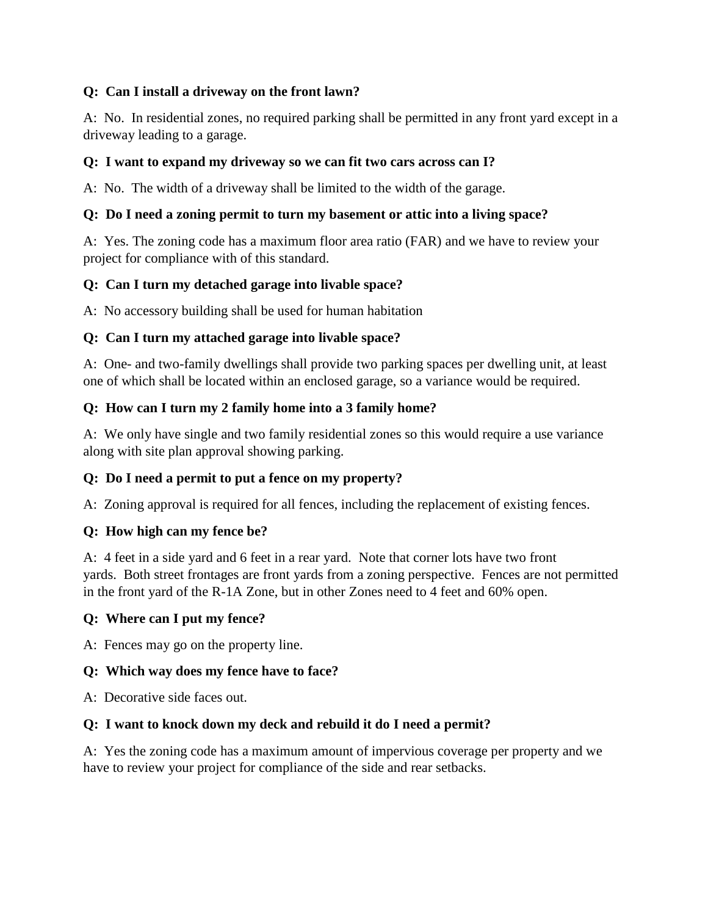# **Q: Can I install a driveway on the front lawn?**

A: No. In residential zones, no required parking shall be permitted in any front yard except in a driveway leading to a garage.

#### **Q: I want to expand my driveway so we can fit two cars across can I?**

A: No. The width of a driveway shall be limited to the width of the garage.

#### **Q: Do I need a zoning permit to turn my basement or attic into a living space?**

A: Yes. The zoning code has a maximum floor area ratio (FAR) and we have to review your project for compliance with of this standard.

#### **Q: Can I turn my detached garage into livable space?**

A: No accessory building shall be used for human habitation

# **Q: Can I turn my attached garage into livable space?**

A: One- and two-family dwellings shall provide two parking spaces per dwelling unit, at least one of which shall be located within an enclosed garage, so a variance would be required.

#### **Q: How can I turn my 2 family home into a 3 family home?**

A: We only have single and two family residential zones so this would require a use variance along with site plan approval showing parking.

# **Q: Do I need a permit to put a fence on my property?**

A: Zoning approval is required for all fences, including the replacement of existing fences.

#### **Q: How high can my fence be?**

A: 4 feet in a side yard and 6 feet in a rear yard. Note that corner lots have two front yards. Both street frontages are front yards from a zoning perspective. Fences are not permitted in the front yard of the R-1A Zone, but in other Zones need to 4 feet and 60% open.

#### **Q: Where can I put my fence?**

A: Fences may go on the property line.

# **Q: Which way does my fence have to face?**

A: Decorative side faces out.

# **Q: I want to knock down my deck and rebuild it do I need a permit?**

A: Yes the zoning code has a maximum amount of impervious coverage per property and we have to review your project for compliance of the side and rear setbacks.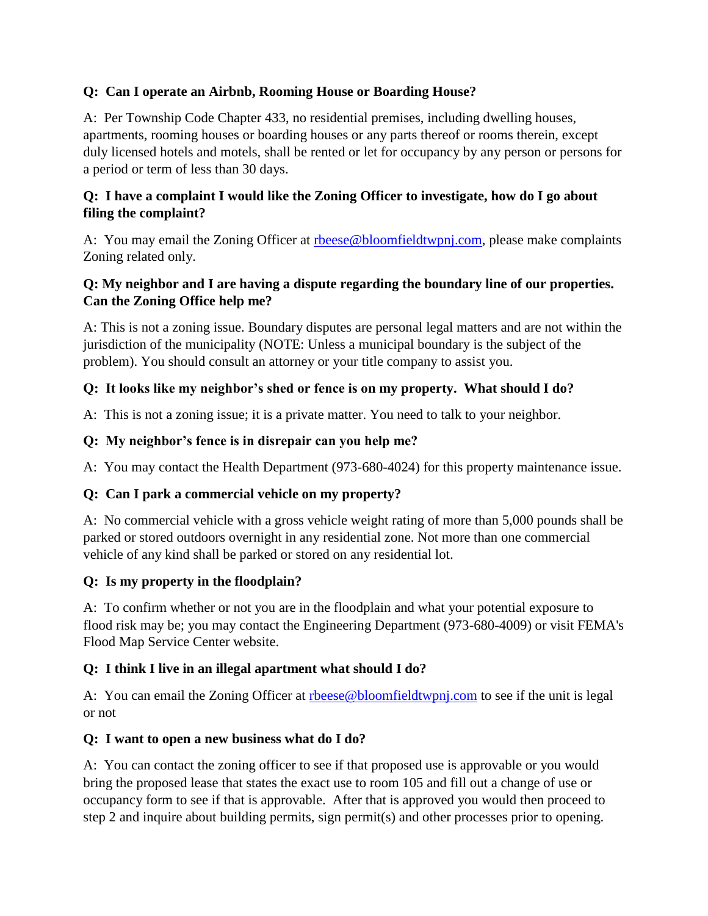# **Q: Can I operate an Airbnb, Rooming House or Boarding House?**

A: Per Township Code Chapter 433, no residential premises, including dwelling houses, apartments, rooming houses or boarding houses or any parts thereof or rooms therein, except duly licensed hotels and motels, shall be rented or let for occupancy by any person or persons for a period or term of less than 30 days.

### **Q: I have a complaint I would like the Zoning Officer to investigate, how do I go about filing the complaint?**

A: You may email the Zoning Officer at rheese@bloomfieldtwpnj.com, please make complaints Zoning related only.

### **Q: My neighbor and I are having a dispute regarding the boundary line of our properties. Can the Zoning Office help me?**

A: This is not a zoning issue. Boundary disputes are personal legal matters and are not within the jurisdiction of the municipality (NOTE: Unless a municipal boundary is the subject of the problem). You should consult an attorney or your title company to assist you.

# **Q: It looks like my neighbor's shed or fence is on my property. What should I do?**

A: This is not a zoning issue; it is a private matter. You need to talk to your neighbor.

# **Q: My neighbor's fence is in disrepair can you help me?**

A: You may contact the Health Department (973-680-4024) for this property maintenance issue.

# **Q: Can I park a commercial vehicle on my property?**

A: No commercial vehicle with a gross vehicle weight rating of more than 5,000 pounds shall be parked or stored outdoors overnight in any residential zone. Not more than one commercial vehicle of any kind shall be parked or stored on any residential lot.

# **Q: Is my property in the floodplain?**

A: To confirm whether or not you are in the floodplain and what your potential exposure to flood risk may be; you may contact the Engineering Department (973-680-4009) or visit FEMA's Flood Map Service Center website.

# **Q: I think I live in an illegal apartment what should I do?**

A: You can email the Zoning Officer at [rbeese@bloomfieldtwpnj.com](mailto:rbeese@bloomfieldtwpnj.com) to see if the unit is legal or not

# **Q: I want to open a new business what do I do?**

A: You can contact the zoning officer to see if that proposed use is approvable or you would bring the proposed lease that states the exact use to room 105 and fill out a change of use or occupancy form to see if that is approvable. After that is approved you would then proceed to step 2 and inquire about building permits, sign permit(s) and other processes prior to opening.